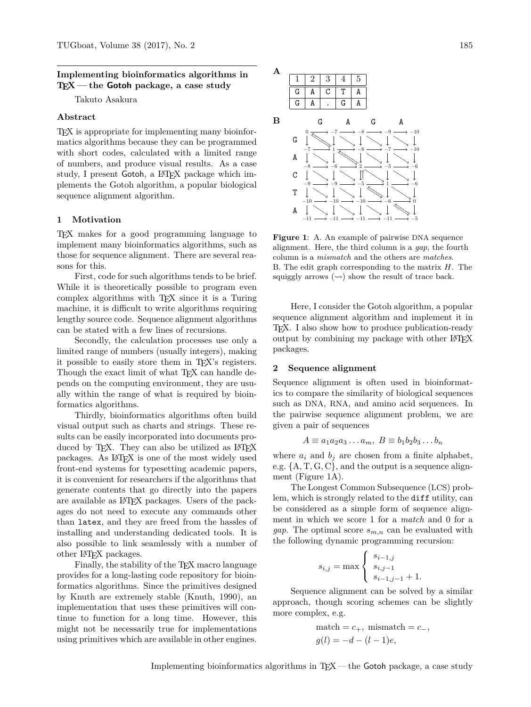### **Implementing bioinformatics algorithms in TEX — the Gotoh package, a case study**

Takuto Asakura

### **Abstract**

TEX is appropriate for implementing many bioinformatics algorithms because they can be programmed with short codes, calculated with a limited range of numbers, and produce visual results. As a case study, I present Gotoh, a IAT<sub>F</sub>X package which implements the Gotoh algorithm, a popular biological sequence alignment algorithm.

## **1 Motivation**

TEX makes for a good programming language to implement many bioinformatics algorithms, such as those for sequence alignment. There are several reasons for this.

First, code for such algorithms tends to be brief. While it is theoretically possible to program even complex algorithms with TEX since it is a Turing machine, it is difficult to write algorithms requiring lengthy source code. Sequence alignment algorithms can be stated with a few lines of recursions.

Secondly, the calculation processes use only a limited range of numbers (usually integers), making it possible to easily store them in TEX's registers. Though the exact limit of what T<sub>E</sub>X can handle depends on the computing environment, they are usually within the range of what is required by bioinformatics algorithms.

Thirdly, bioinformatics algorithms often build visual output such as charts and strings. These results can be easily incorporated into documents produced by T<sub>F</sub>X. They can also be utilized as LAT<sub>F</sub>X packages. As LATEX is one of the most widely used front-end systems for typesetting academic papers, it is convenient for researchers if the algorithms that generate contents that go directly into the papers are available as LATEX packages. Users of the packages do not need to execute any commands other than latex, and they are freed from the hassles of installing and understanding dedicated tools. It is also possible to link seamlessly with a number of other LATEX packages.

Finally, the stability of the T<sub>E</sub>X macro language provides for a long-lasting code repository for bioinformatics algorithms. Since the primitives designed by Knuth are extremely stable [\(Knuth, 1990\)](#page-2-0), an implementation that uses these primitives will continue to function for a long time. However, this might not be necessarily true for implementations using primitives which are available in other engines.



<span id="page-0-0"></span>**Figure 1**: A. An example of pairwise DNA sequence alignment. Here, the third column is a *gap*, the fourth column is a *mismatch* and the others are *matches*. B. The edit graph corresponding to the matrix *H*. The squiggly arrows  $(\rightarrow)$  show the result of trace back.

Here, I consider the Gotoh algorithm, a popular sequence alignment algorithm and implement it in TEX. I also show how to produce publication-ready output by combining my package with other LATEX packages.

#### **2 Sequence alignment**

Sequence alignment is often used in bioinformatics to compare the similarity of biological sequences such as DNA, RNA, and amino acid sequences. In the pairwise sequence alignment problem, we are given a pair of sequences

$$
A \equiv a_1 a_2 a_3 \dots a_m, \ B \equiv b_1 b_2 b_3 \dots b_n
$$

where  $a_i$  and  $b_j$  are chosen from a finite alphabet, e.g. {A*,* T*,* G*,* C}, and the output is a sequence alignment (Figure [1A](#page-0-0)).

The Longest Common Subsequence (LCS) problem, which is strongly related to the diff utility, can be considered as a simple form of sequence alignment in which we score 1 for a *match* and 0 for a *gap*. The optimal score  $s_{m,n}$  can be evaluated with the following dynamic programming recursion:

$$
s_{i,j} = \max \begin{cases} s_{i-1,j} \\ s_{i,j-1} \\ s_{i-1,j-1} + 1. \end{cases}
$$

Sequence alignment can be solved by a similar approach, though scoring schemes can be slightly more complex, e.g.

$$
\begin{aligned}\n\text{match} &= c_+, \text{ mismatch} = c_-, \\
g(l) &= -d - (l-1)e,\n\end{aligned}
$$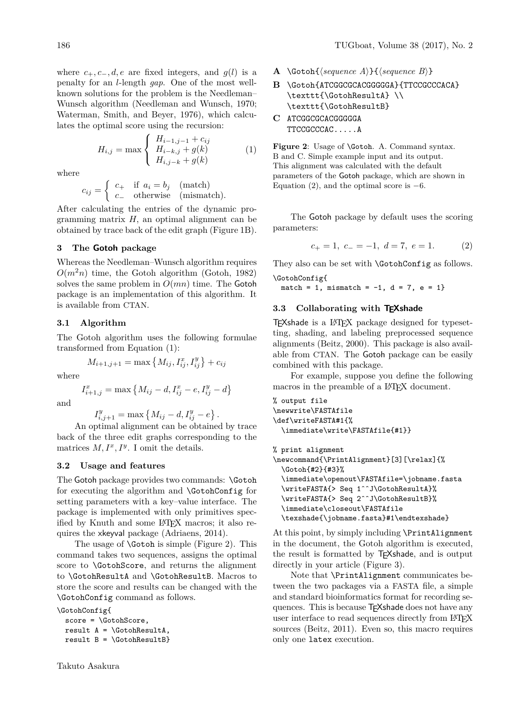where  $c_+, c_-, d, e$  are fixed integers, and  $g(l)$  is a penalty for an *l*-length *gap*. One of the most wellknown solutions for the problem is the Needleman– Wunsch algorithm [\(Needleman and Wunsch, 1970;](#page-2-1) [Waterman, Smith, and Beyer, 1976\)](#page-2-2), which calculates the optimal score using the recursion:

$$
H_{i,j} = \max \begin{cases} H_{i-1,j-1} + c_{ij} \\ H_{i-k,j} + g(k) \\ H_{i,j-k} + g(k) \end{cases} (1)
$$

where

$$
c_{ij} = \begin{cases} c_+ & \text{if } a_i = b_j \pmod{2} \\ c_- & \text{otherwise} \end{cases}
$$
 (match).

After calculating the entries of the dynamic programming matrix *H*, an optimal alignment can be obtained by trace back of the edit graph (Figure [1B](#page-0-0)).

#### **3 The Gotoh package**

Whereas the Needleman–Wunsch algorithm requires  $O(m^2n)$  time, the Gotoh algorithm [\(Gotoh, 1982\)](#page-2-3) solves the same problem in  $O(mn)$  time. The Gotoh package is an implementation of this algorithm. It is available from CTAN.

# **3.1 Algorithm**

The Gotoh algorithm uses the following formulae transformed from Equation [\(1\)](#page-1-0):

$$
M_{i+1,j+1} = \max\left\{M_{ij}, I_{ij}^x, I_{ij}^y\right\} + c_{ij}
$$

where

$$
I_{i+1,j}^x = \max\left\{M_{ij} - d, I_{ij}^x - e, I_{ij}^y - d\right\}
$$

and

 $I_{i,j+1}^y = \max \{ M_{ij} - d, I_{ij}^y - e \}.$ 

An optimal alignment can be obtained by trace back of the three edit graphs corresponding to the matrices  $M, I^x, I^y$ . I omit the details.

#### **3.2 Usage and features**

The Gotoh package provides two commands: \Gotoh for executing the algorithm and \GotohConfig for setting parameters with a key–value interface. The package is implemented with only primitives specified by Knuth and some LATEX macros; it also requires the xkeyval package [\(Adriaens, 2014\)](#page-2-4).

The usage of **\Gotoh** is simple (Figure [2\)](#page-1-1). This command takes two sequences, assigns the optimal score to \GotohScore, and returns the alignment to \GotohResultA and \GotohResultB. Macros to store the score and results can be changed with the \GotohConfig command as follows.

\GotohConfig{ score = \GotohScore, result  $A = \text{NotohResultA}$ . result  $B = \{GotohResultB\}$ 

- **A** \Gotoh{\sequence A\}{\sequence B\}
- B \Gotoh{ATCGGCGCACGGGGA}{TTCCGCCCACA} \texttt{\GotohResultA} \\ \texttt{\GotohResultB}
- <span id="page-1-0"></span>**C** ATCGGCGCACGGGGGA TTCCGCCCAC.....A

<span id="page-1-1"></span>Figure 2: Usage of **\Gotoh.** A. Command syntax. B and C. Simple example input and its output. This alignment was calculated with the default parameters of the Gotoh package, which are shown in Equation [\(2\)](#page-1-2), and the optimal score is  $-6$ .

The Gotoh package by default uses the scoring parameters:

<span id="page-1-2"></span>
$$
c_{+} = 1, \ c_{-} = -1, \ d = 7, \ e = 1. \tag{2}
$$

They also can be set with **\GotohConfig** as follows. \GotohConfig{

 $match = 1$ , mismatch =  $-1$ ,  $d = 7$ ,  $e = 1$ }

#### **3.3 Collaborating with TEXshade**

TEXshade is a LATEX package designed for typesetting, shading, and labeling preprocessed sequence alignments [\(Beitz, 2000\)](#page-2-5). This package is also available from CTAN. The Gotoh package can be easily combined with this package.

For example, suppose you define the following macros in the preamble of a IAT<sub>EX</sub> document.

```
% output file
\newwrite\FASTAfile
\def\writeFASTA#1{%
  \immediate\write\FASTAfile{#1}}
```

```
% print alignment
\newcommand{\PrintAlignment}[3][\relax]{%
  \Gotoh{#2}{#3}%
  \immediate\openout\FASTAfile=\jobname.fasta
  \writeFASTA{> Seq 1ˆˆJ\GotohResultA}%
  \writeFASTA{> Seq 2ˆˆJ\GotohResultB}%
  \immediate\closeout\FASTAfile
  \texshade{\jobname.fasta}#1\endtexshade}
```
At this point, by simply including \PrintAlignment in the document, the Gotoh algorithm is executed, the result is formatted by TEXshade, and is output directly in your article (Figure [3\)](#page-2-6).

Note that \PrintAlignment communicates between the two packages via a FASTA file, a simple and standard bioinformatics format for recording sequences. This is because TEXshade does not have any user interface to read sequences directly from LATEX sources [\(Beitz, 2011\)](#page-2-7). Even so, this macro requires only one latex execution.